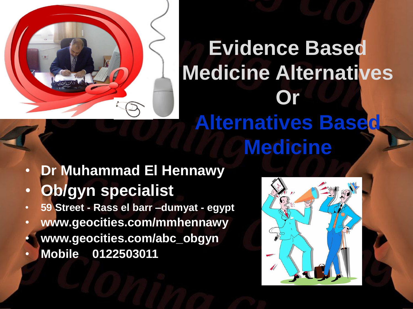

#### **Evidence Based Medicine Alternatives Or Alternatives Based Medicine**

- **Dr Muhammad El Hennawy**
- **Ob/gyn specialist**
- **59 Street - Rass el barr –dumyat - egypt**
- **www.geocities.com/mmhennawy**
- **www.geocities.com/abc\_obgyn**
- **Mobile 0122503011**

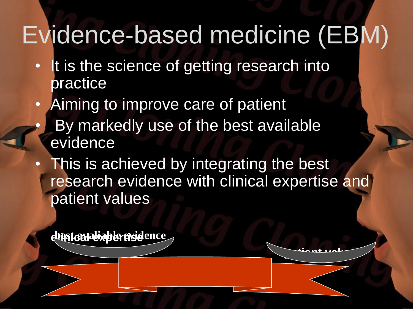## Evidence-based medicine (EBM)

- It is the science of getting research into practice
- Aiming to improve care of patient
	- By markedly use of the best available evidence
- This is achieved by integrating the best research evidence with clinical expertise and patient values

**patient values** 

**clinical expertise best avaliable evidence**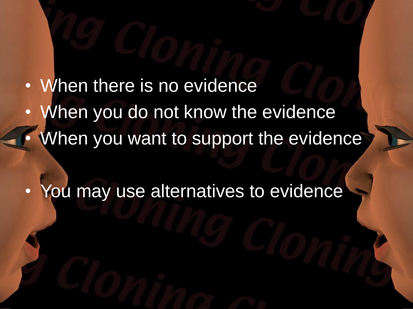When there is no evidence When you do not know the evidence When you want to support the evidence

You may use alternatives to evidence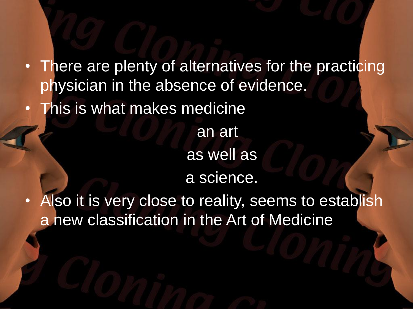• There are plenty of alternatives for the practicing physician in the absence of evidence.

This is what makes medicine

as well as

an art

a science.

Also it is very close to reality, seems to establish a new classification in the Art of Medicine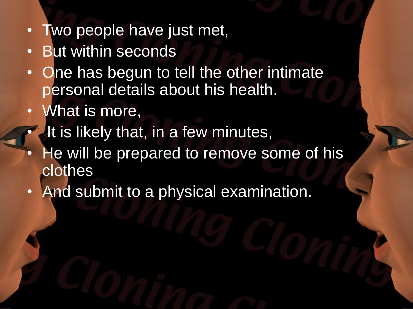- Two people have just met,
- **But within seconds**
- One has begun to tell the other intimate personal details about his health.
- What is more,
- It is likely that, in a few minutes,
- He will be prepared to remove some of his clothes
- And submit to a physical examination.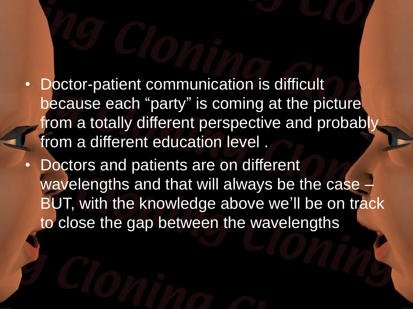- Doctor-patient communication is difficult because each "party" is coming at the picture from a totally different perspective and probabl from a different education level .
- Doctors and patients are on different wavelengths and that will always be the case BUT, with the knowledge above we'll be on track to close the gap between the wavelengths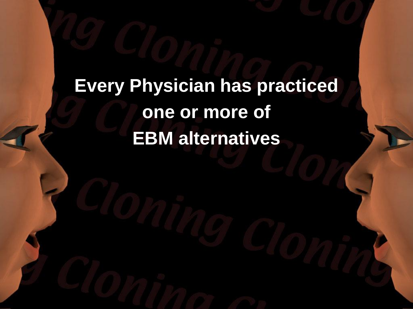#### **Every Physician has practiced one or more of EBM alternatives**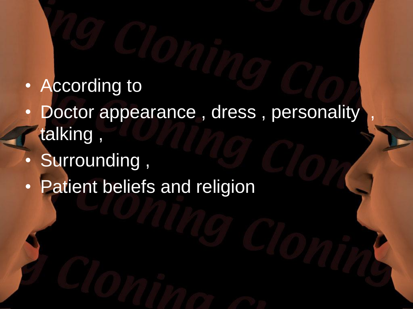- According to
- Doctor appearance, dress, personality talking ,
- Surrounding ,
- Patient beliefs and religion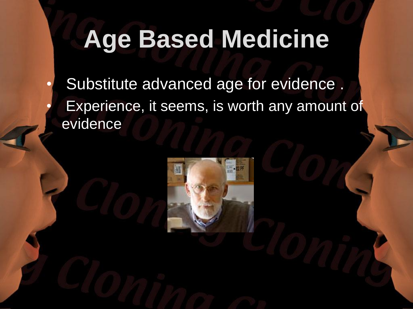## **Age Based Medicine**

Substitute advanced age for evidence. Experience, it seems, is worth any amount of evidence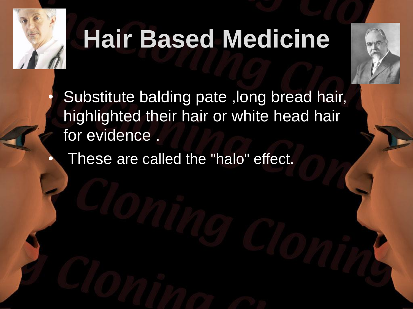

# **Hair Based Medicine**



Substitute balding pate, long bread hair, highlighted their hair or white head hair for evidence .

These are called the "halo" effect.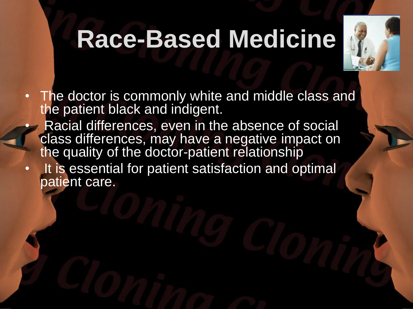## **Race-Based Medicine**



- The doctor is commonly white and middle class and the patient black and indigent.
- Racial differences, even in the absence of social class differences, may have a negative impact on the quality of the doctor-patient relationship
- It is essential for patient satisfaction and optimal patient care.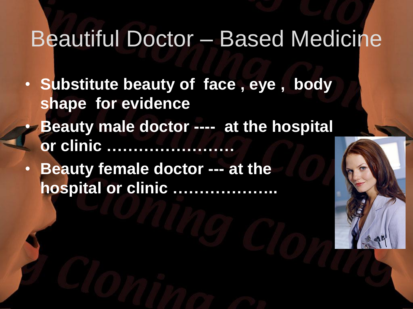#### Beautiful Doctor – Based Medicine

- **Substitute beauty of face , eye , body shape for evidence**
	- **Beauty male doctor ---- at the hospital or clinic ……………………**
- **Beauty female doctor --- at the hospital or clinic ………………..**

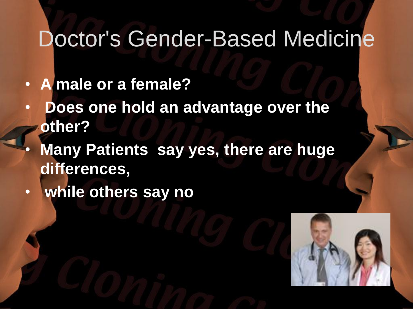#### Doctor's Gender-Based Medicine

- **A male or a female?**
- **Does one hold an advantage over the other?**
- **Many Patients say yes, there are huge differences,**
- **while others say no**

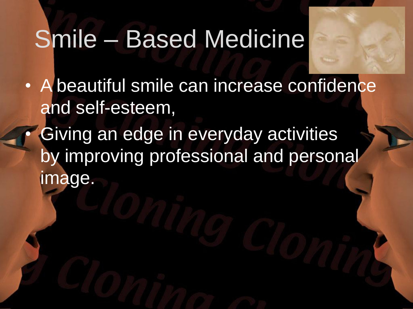### Smile – Based Medicine

- A beautiful smile can increase confidence and self-esteem,
- Giving an edge in everyday activities by improving professional and personal image.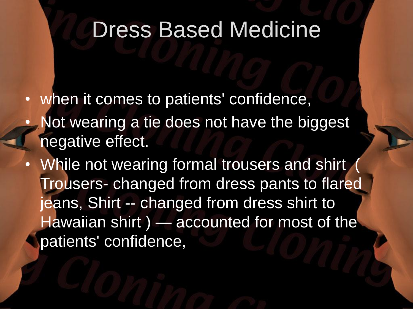#### Dress Based Medicine

when it comes to patients' confidence,

- Not wearing a tie does not have the biggest negative effect.
- While not wearing formal trousers and shirt Trousers- changed from dress pants to flared jeans, Shirt -- changed from dress shirt to Hawaiian shirt) — accounted for most of the patients' confidence,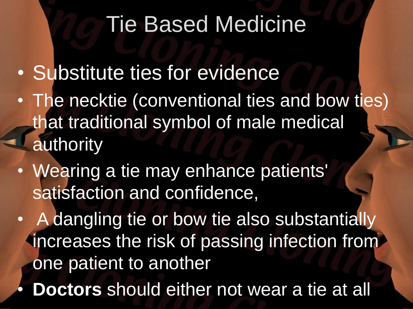#### Tie Based Medicine

- Substitute ties for evidence
- The necktie (conventional ties and bow ties) that traditional symbol of male medical authority
- Wearing a tie may enhance patients' satisfaction and confidence,
- A dangling tie or bow tie also substantially increases the risk of passing infection from one patient to another
- **Doctors** should either not wear a tie at all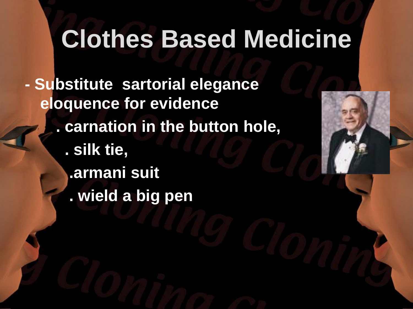### **Clothes Based Medicine**

**- Substitute sartorial elegance eloquence for evidence . carnation in the button hole, . silk tie, .armani suit . wield a big pen**

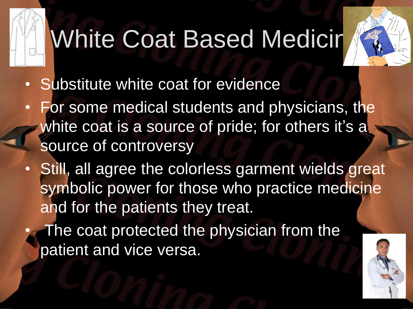# **White Coat Based Medicir**



- Substitute white coat for evidence
- For some medical students and physicians, the white coat is a source of pride; for others it's a source of controversy
- Still, all agree the colorless garment wields great symbolic power for those who practice medicine and for the patients they treat.
	- The coat protected the physician from the patient and vice versa.

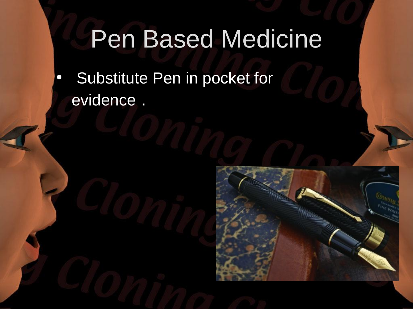## Pen Based Medicine

• Substitute Pen in pocket for evidence .

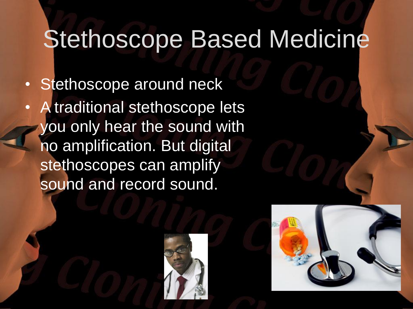### Stethoscope Based Medicine

Stethoscope around neck • A traditional stethoscope lets

you only hear the sound with no amplification. But digital stethoscopes can amplify sound and record sound.



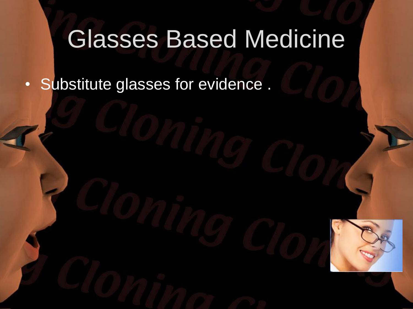### Glasses Based Medicine

• Substitute glasses for evidence .

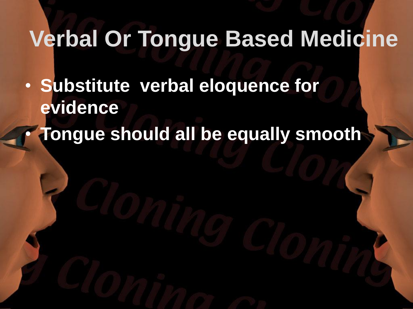#### **Verbal Or Tongue Based Medicine**

• **Substitute verbal eloquence for evidence** • **Tongue should all be equally smooth**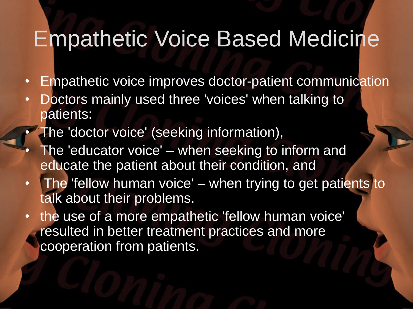#### Empathetic Voice Based Medicine

- Empathetic voice improves doctor-patient communication
- Doctors mainly used three 'voices' when talking to patients:
- The 'doctor voice' (seeking information),
- The 'educator voice' when seeking to inform and educate the patient about their condition, and
- The 'fellow human voice' when trying to get patients to talk about their problems.
- the use of a more empathetic 'fellow human voice' resulted in better treatment practices and more cooperation from patients.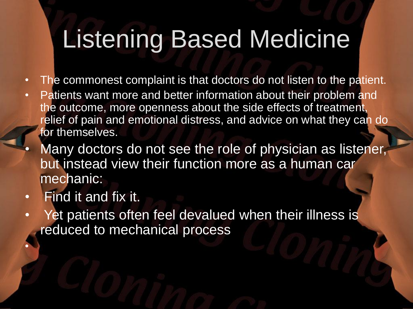### Listening Based Medicine

- The commonest complaint is that doctors do not listen to the patient.
- Patients want more and better information about their problem and the outcome, more openness about the side effects of treatment, relief of pain and emotional distress, and advice on what they can do for themselves.
- Many doctors do not see the role of physician as listener, but instead view their function more as a human car mechanic:
- Find it and fix it.

•

Yet patients often feel devalued when their illness is reduced to mechanical process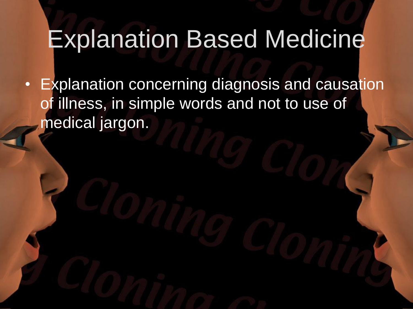### Explanation Based Medicine

• Explanation concerning diagnosis and causation of illness, in simple words and not to use of medical jargon.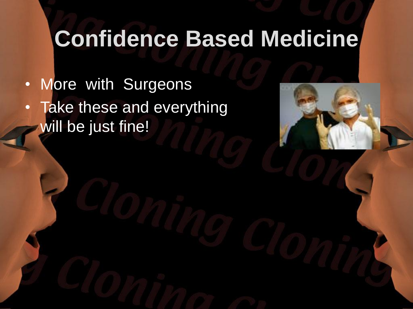#### **Confidence Based Medicine**

• More with Surgeons • Take these and everything will be just fine!

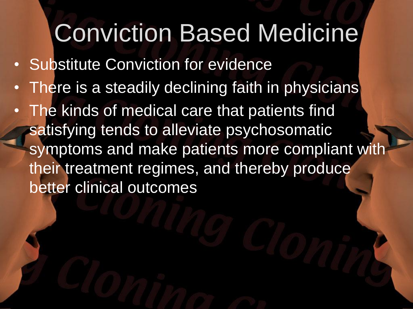### Conviction Based Medicine

- Substitute Conviction for evidence
- There is a steadily declining faith in physicians
- The kinds of medical care that patients find satisfying tends to alleviate psychosomatic symptoms and make patients more compliant with their treatment regimes, and thereby produce better clinical outcomes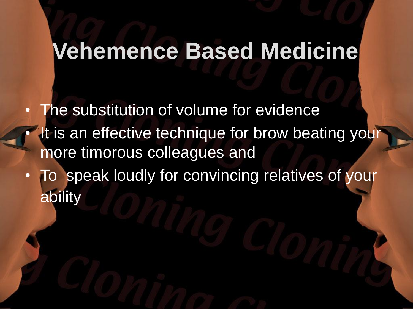#### **Vehemence Based Medicine**

The substitution of volume for evidence It is an effective technique for brow beating your more timorous colleagues and

• To speak loudly for convincing relatives of your ability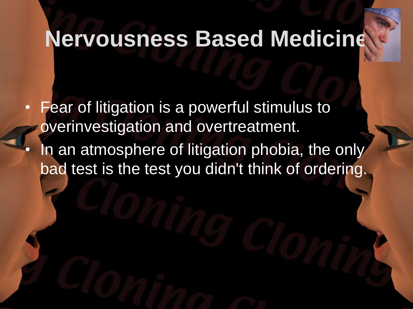#### **Nervousness Based Medicine**

- Fear of litigation is a powerful stimulus to overinvestigation and overtreatment.
- In an atmosphere of litigation phobia, the only bad test is the test you didn't think of ordering.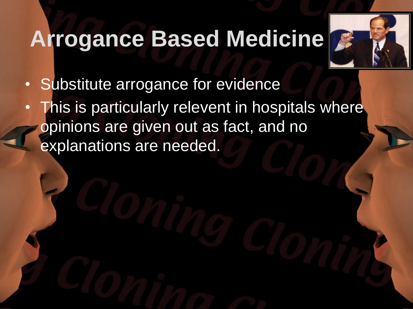#### **Arrogance Based Medicine**



- Substitute arrogance for evidence
- This is particularly relevent in hospitals where opinions are given out as fact, and no explanations are needed.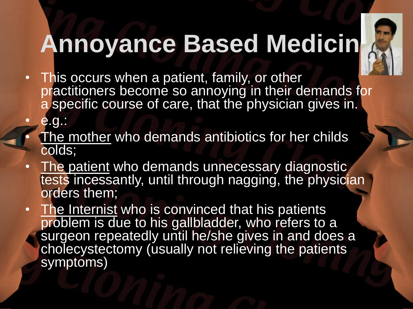

# **Annoyance Based Medicin**

- This occurs when a patient, family, or other practitioners become so annoying in their demands for a specific course of care, that the physician gives in.
- e.g.:
- The mother who demands antibiotics for her childs colds;
- The patient who demands unnecessary diagnostic tests incessantly, until through nagging, the physician orders them;
- The Internist who is convinced that his patients problem is due to his gallbladder, who refers to a surgeon repeatedly until he/she gives in and does a cholecystectomy (usually not relieving the patients symptoms)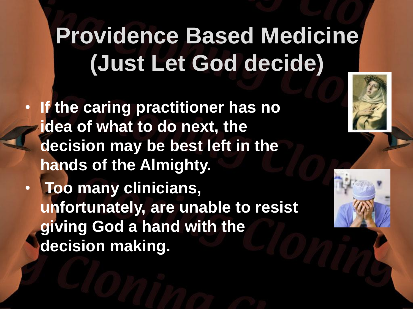## **Providence Based Medicine (Just Let God decide)**

• **If the caring practitioner has no idea of what to do next, the decision may be best left in the hands of the Almighty.**

• **Too many clinicians, unfortunately, are unable to resist giving God a hand with the decision making.**



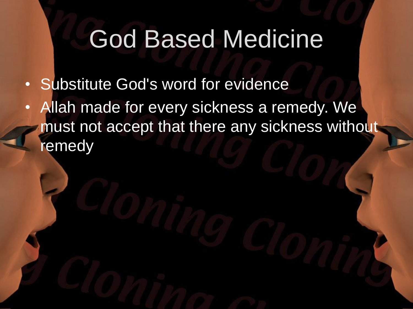### God Based Medicine

- Substitute God's word for evidence
- Allah made for every sickness a remedy. We must not accept that there any sickness without remedy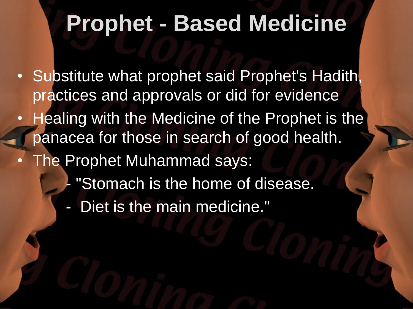#### **Prophet - Based Medicine**

- Substitute what prophet said Prophet's Hadith, practices and approvals or did for evidence
- Healing with the Medicine of the Prophet is the panacea for those in search of good health.
- The Prophet Muhammad says:
	- "Stomach is the home of disease.
	- Diet is the main medicine."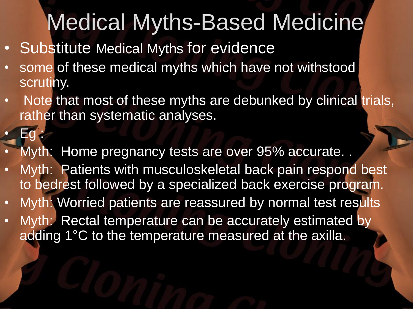## Medical Myths-Based Medicine

Substitute Medical Myths for evidence

 $\mathsf{E}\mathsf{c}$ 

- some of these medical myths which have not withstood scrutiny.
- Note that most of these myths are debunked by clinical trials, rather than systematic analyses.
	- Myth: Home pregnancy tests are over 95% accurate...
- Myth: Patients with musculoskeletal back pain respond best to bedrest followed by a specialized back exercise program.
- Myth: Worried patients are reassured by normal test results
- Myth: Rectal temperature can be accurately estimated by adding 1°C to the temperature measured at the axilla.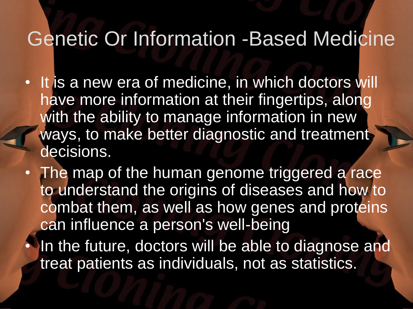#### Genetic Or Information -Based Medicine

- It is a new era of medicine, in which doctors will have more information at their fingertips, along with the ability to manage information in new ways, to make better diagnostic and treatment decisions.
- The map of the human genome triggered a race to understand the origins of diseases and how to combat them, as well as how genes and proteins can influence a person's well-being
	- In the future, doctors will be able to diagnose and treat patients as individuals, not as statistics.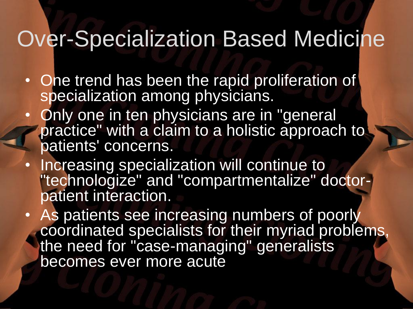#### Over-Specialization Based Medicine

- One trend has been the rapid proliferation of specialization among physicians.
- Only one in ten physicians are in "general" practice" with a claim to a holistic approach to patients' concerns.
- Increasing specialization will continue to "technologize" and "compartmentalize" doctorpatient interaction.
- As patients see increasing numbers of poorly coordinated specialists for their myriad problems, the need for "case-managing" generalists becomes ever more acute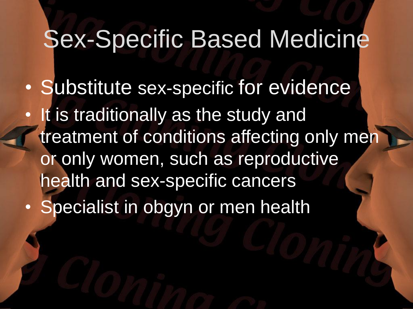#### Sex-Specific Based Medicine

• Substitute sex-specific for evidence • It is traditionally as the study and treatment of conditions affecting only men or only women, such as reproductive health and sex-specific cancers **Specialist in obgyn or men health**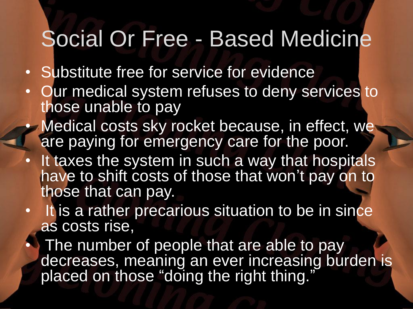#### Social Or Free - Based Medicine

- Substitute free for service for evidence
- Our medical system refuses to deny services to those unable to pay
- Medical costs sky rocket because, in effect, we are paying for emergency care for the poor.
- It taxes the system in such a way that hospitals have to shift costs of those that won't pay on to those that can pay.
- It is a rather precarious situation to be in since as costs rise,

The number of people that are able to pay decreases, meaning an ever increasing burden is placed on those "doing the right thing.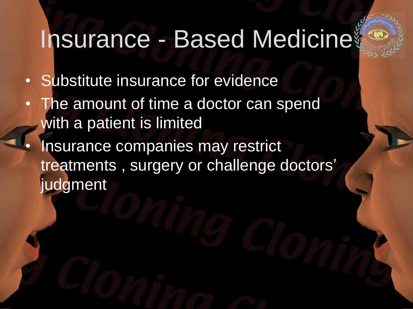## Insurance - Based Medicine

- Substitute insurance for evidence
- The amount of time a doctor can spend with a patient is limited
- Insurance companies may restrict treatments , surgery or challenge doctors' judgment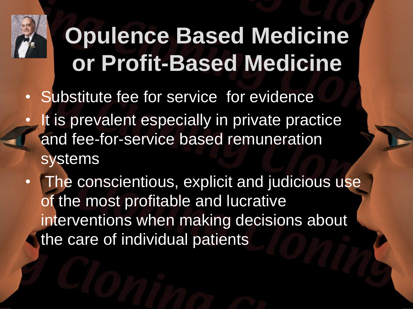

## **Opulence Based Medicine or Profit-Based Medicine**

- Substitute fee for service for evidence
- It is prevalent especially in private practice and fee-for-service based remuneration systems
- The conscientious, explicit and judicious use of the most profitable and lucrative interventions when making decisions about the care of individual patients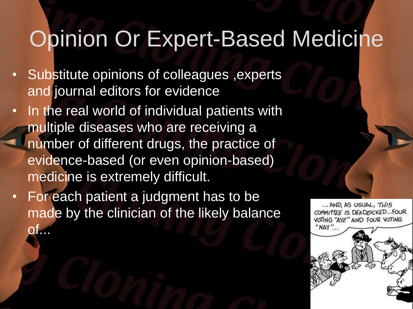#### Opinion Or Expert-Based Medicine

- Substitute opinions of colleagues ,experts and journal editors for evidence
- In the real world of individual patients with multiple diseases who are receiving a number of different drugs, the practice of evidence-based (or even opinion-based) medicine is extremely difficult.
- For each patient a judgment has to be made by the clinician of the likely balance  $\mathsf{O}\mathsf{L}$

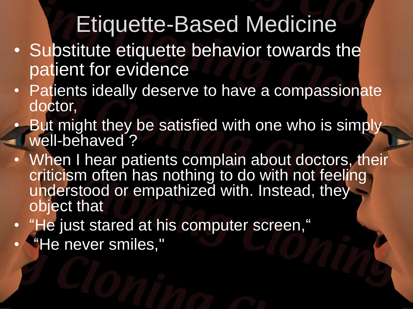#### Etiquette-Based Medicine

- Substitute etiquette behavior towards the patient for evidence
- Patients ideally deserve to have a compassionate doctor,
- But might they be satisfied with one who is simply well-behaved?
	- When I hear patients complain about doctors, their criticism often has nothing to do with not feeling understood or empathized with. Instead, they object that
- "He just stared at his computer screen,"
- "He never smiles,"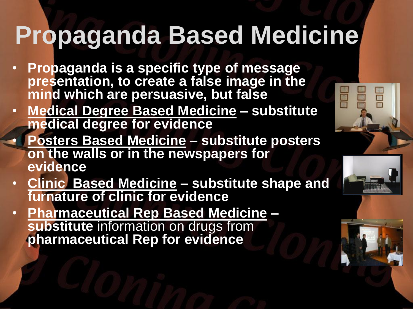# **Propaganda Based Medicine**

- **Propaganda is a specific type of message presentation, to create a false image in the mind which are persuasive, but false**
- **Medical Degree Based Medicine – substitute medical degree for evidence**
	- **Posters Based Medicine – substitute posters on the walls or in the newspapers for evidence**
- **Clinic Based Medicine – substitute shape and furnature of clinic for evidence**
- **Pharmaceutical Rep Based Medicine – substitute** information on drugs from **pharmaceutical Rep for evidence**



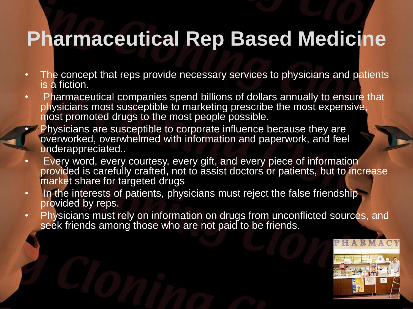#### **Pharmaceutical Rep Based Medicine**

- The concept that reps provide necessary services to physicians and patients is a fiction.
- Pharmaceutical companies spend billions of dollars annually to ensure that physicians most susceptible to marketing prescribe the most expensive, most promoted drugs to the most people possible.
	- Physicians are susceptible to corporate influence because they are overworked, overwhelmed with information and paperwork, and feel underappreciated..
- Every word, every courtesy, every gift, and every piece of information provided is carefully crafted, not to assist doctors or patients, but to increase market share for targeted drugs
- In the interests of patients, physicians must reject the false friendship provided by reps.
- Physicians must rely on information on drugs from unconflicted sources, and seek friends among those who are not paid to be friends.

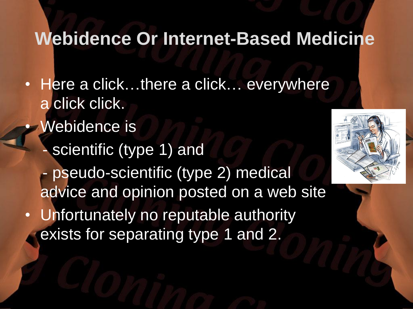#### **Webidence Or Internet-Based Medicine**

- Here a click...there a click... everywhere a click click.
	- Webidence is scientific (type 1) and pseudo-scientific (type 2) medical advice and opinion posted on a web site
- Unfortunately no reputable authority exists for separating type 1 and 2.

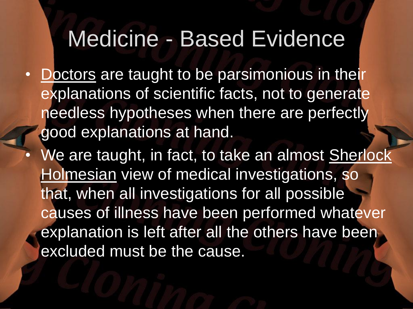#### Medicine - Based Evidence

- Doctors are taught to be parsimonious in their explanations of scientific facts, not to generate needless hypotheses when there are perfectly good explanations at hand.
	- We are taught, in fact, to take an almost Sherlock Holmesian view of medical investigations, so that, when all investigations for all possible causes of illness have been performed whatever explanation is left after all the others have been excluded must be the cause.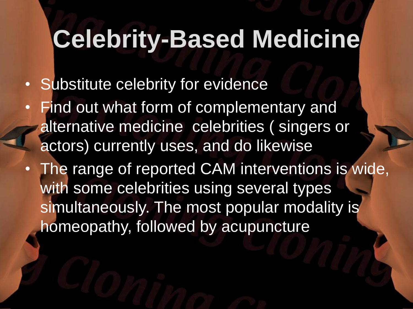### **Celebrity-Based Medicine**

- Substitute celebrity for evidence
- Find out what form of complementary and alternative medicine celebrities ( singers or actors) currently uses, and do likewise
- The range of reported CAM interventions is wide, with some celebrities using several types simultaneously. The most popular modality is homeopathy, followed by acupuncture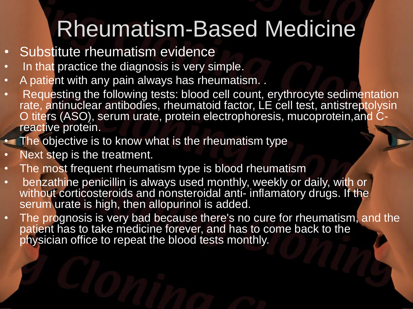### Rheumatism-Based Medicine

- Substitute rheumatism evidence
- In that practice the diagnosis is very simple.
- A patient with any pain always has rheumatism. .
- Requesting the following tests: blood cell count, erythrocyte sedimentation rate, antinuclear antibodies, rheumatoid factor, LE cell test, antistreptolysin O titers (ASO), serum urate, protein electrophoresis, mucoprotein,and Creactive protein.
- The objective is to know what is the rheumatism type
- Next step is the treatment.
- The most frequent rheumatism type is blood rheumatism
- benzathine penicillin is always used monthly, weekly or daily, with or without corticosteroids and nonsteroidal anti- inflamatory drugs. If the serum urate is high, then allopurinol is added.
- The prognosis is very bad because there's no cure for rheumatism, and the patient has to take medicine forever, and has to come back to the physician office to repeat the blood tests monthly.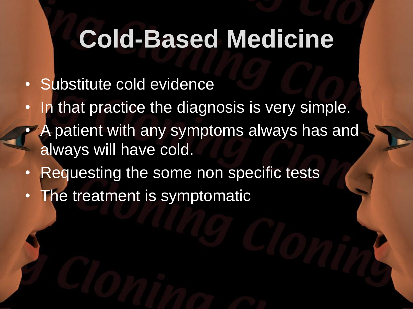### **Cold-Based Medicine**

- Substitute cold evidence
- In that practice the diagnosis is very simple.
- A patient with any symptoms always has and always will have cold.
- Requesting the some non specific tests
- The treatment is symptomatic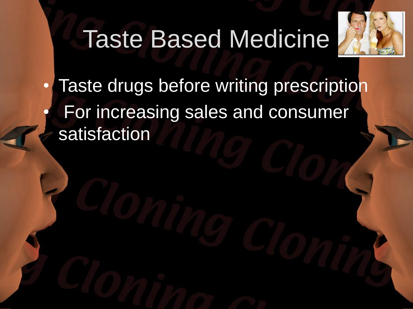## Taste Based Medicine



Taste drugs before writing prescription • For increasing sales and consumer satisfaction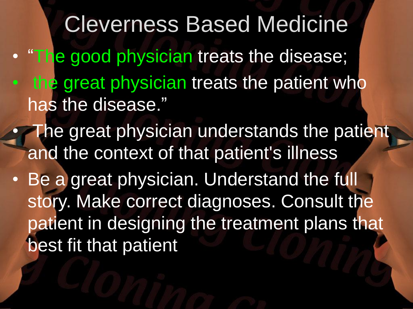Cleverness Based Medicine • "The good physician treats the disease; the great physician treats the patient who has the disease."

- The great physician understands the patient and the context of that patient's illness
- Be a great physician. Understand the full story. Make correct diagnoses. Consult the patient in designing the treatment plans that best fit that patient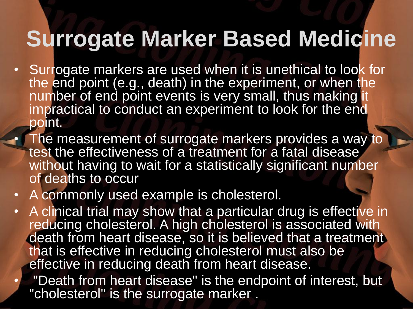#### **Surrogate Marker Based Medicine**

- Surrogate markers are used when it is unethical to look for the end point (e.g., death) in the experiment, or when the number of end point events is very small, thus making it impractical to conduct an experiment to look for the end point.
	- The measurement of surrogate markers provides a way to test the effectiveness of a treatment for a fatal disease without having to wait for a statistically significant number of deaths to occur
- A commonly used example is cholesterol.
	- A clinical trial may show that a particular drug is effective in reducing cholesterol. A high cholesterol is associated with death from heart disease, so it is believed that a treatment that is effective in reducing cholesterol must also be effective in reducing death from heart disease.
		- "Death from heart disease" is the endpoint of interest, but "cholesterol" is the surrogate marker .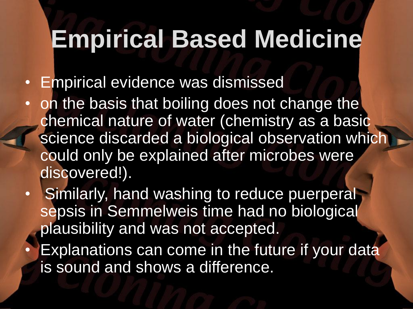### **Empirical Based Medicine**

- Empirical evidence was dismissed
- on the basis that boiling does not change the chemical nature of water (chemistry as a basic science discarded a biological observation which could only be explained after microbes were discovered!).
- **Similarly, hand washing to reduce puerperal** sepsis in Semmelweis time had no biological plausibility and was not accepted.
- **Explanations can come in the future if your data** is sound and shows a difference.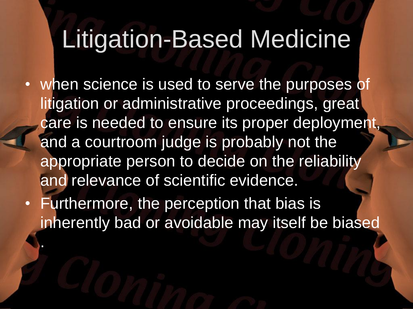### Litigation-Based Medicine

- when science is used to serve the purposes of litigation or administrative proceedings, great care is needed to ensure its proper deployment, and a courtroom judge is probably not the appropriate person to decide on the reliability and relevance of scientific evidence.
- Furthermore, the perception that bias is inherently bad or avoidable may itself be biased

.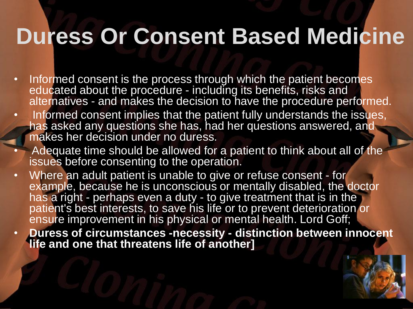#### **Duress Or Consent Based Medicine**

- Informed consent is the process through which the patient becomes educated about the procedure - including its benefits, risks and alternatives - and makes the decision to have the procedure performed.
- Informed consent implies that the patient fully understands the issues, has asked any questions she has, had her questions answered, and makes her decision under no duress.
	- Adequate time should be allowed for a patient to think about all of the issues before consenting to the operation.
- Where an adult patient is unable to give or refuse consent for example, because he is unconscious or mentally disabled, the doctor has a right - perhaps even a duty - to give treatment that is in the patient's best interests, to save his life or to prevent deterioration or ensure improvement in his physical or mental health. Lord Goff;
- **Duress of circumstances -necessity - distinction between innocent life and one that threatens life of another]**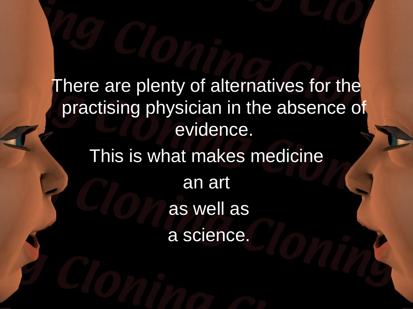There are plenty of alternatives for the practising physician in the absence of evidence. This is what makes medicine an art as well as

a science.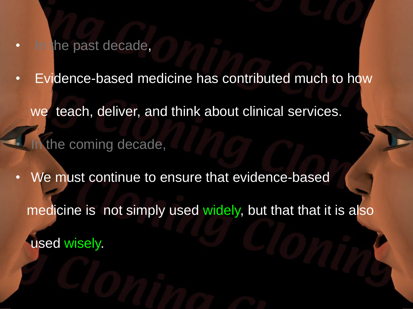**In the past decade,** 

Evidence-based medicine has contributed much to how we teach, deliver, and think about clinical services. the coming decade,

We must continue to ensure that evidence-based medicine is not simply used widely, but that that it is also used wisely.